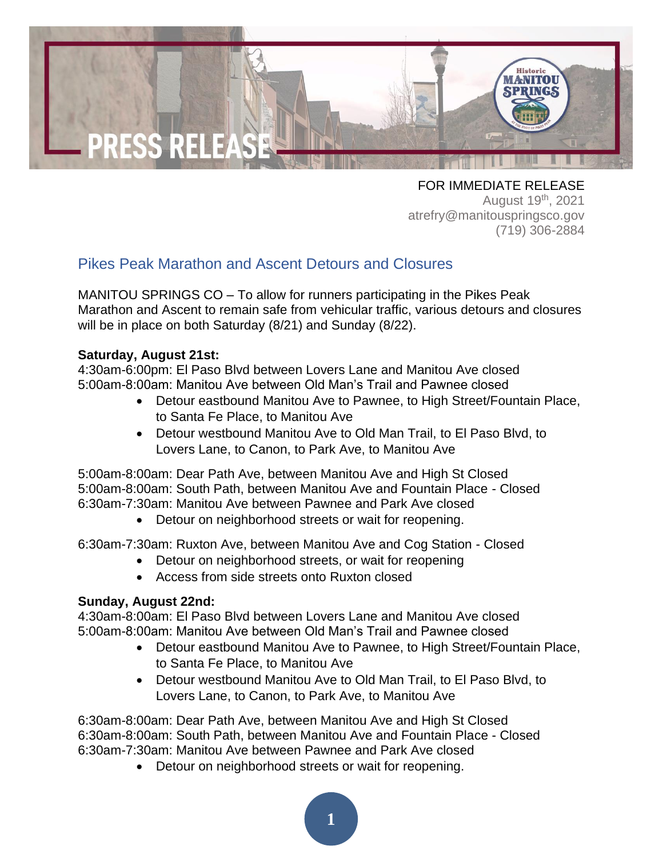

FOR IMMEDIATE RELEASE August 19<sup>th</sup>, 2021 atrefry@manitouspringsco.gov (719) 306-2884

## Pikes Peak Marathon and Ascent Detours and Closures

MANITOU SPRINGS CO – To allow for runners participating in the Pikes Peak Marathon and Ascent to remain safe from vehicular traffic, various detours and closures will be in place on both Saturday (8/21) and Sunday (8/22).

## **Saturday, August 21st:**

4:30am-6:00pm: El Paso Blvd between Lovers Lane and Manitou Ave closed 5:00am-8:00am: Manitou Ave between Old Man's Trail and Pawnee closed

- Detour eastbound Manitou Ave to Pawnee, to High Street/Fountain Place, to Santa Fe Place, to Manitou Ave
- Detour westbound Manitou Ave to Old Man Trail, to El Paso Blvd, to Lovers Lane, to Canon, to Park Ave, to Manitou Ave

5:00am-8:00am: Dear Path Ave, between Manitou Ave and High St Closed 5:00am-8:00am: South Path, between Manitou Ave and Fountain Place - Closed 6:30am-7:30am: Manitou Ave between Pawnee and Park Ave closed

• Detour on neighborhood streets or wait for reopening.

6:30am-7:30am: Ruxton Ave, between Manitou Ave and Cog Station - Closed

- Detour on neighborhood streets, or wait for reopening
- Access from side streets onto Ruxton closed

## **Sunday, August 22nd:**

4:30am-8:00am: El Paso Blvd between Lovers Lane and Manitou Ave closed 5:00am-8:00am: Manitou Ave between Old Man's Trail and Pawnee closed

- Detour eastbound Manitou Ave to Pawnee, to High Street/Fountain Place, to Santa Fe Place, to Manitou Ave
- Detour westbound Manitou Ave to Old Man Trail, to El Paso Blvd, to Lovers Lane, to Canon, to Park Ave, to Manitou Ave

6:30am-8:00am: Dear Path Ave, between Manitou Ave and High St Closed 6:30am-8:00am: South Path, between Manitou Ave and Fountain Place - Closed 6:30am-7:30am: Manitou Ave between Pawnee and Park Ave closed

• Detour on neighborhood streets or wait for reopening.